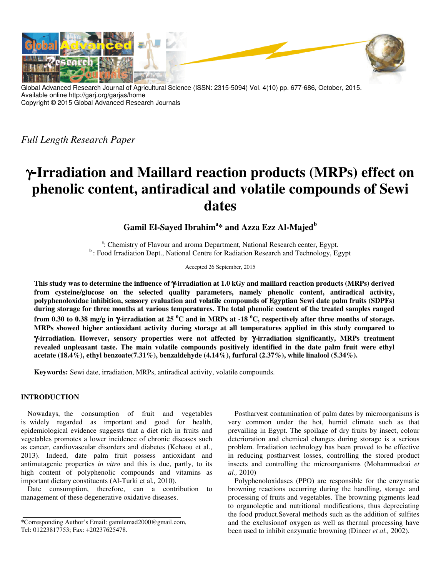

Global Advanced Research Journal of Agricultural Science (ISSN: 2315-5094) Vol. 4(10) pp. 677-686, October, 2015. Available online http://garj.org/garjas/home Copyright © 2015 Global Advanced Research Journals

*Full Length Research Paper*

# γ**-Irradiation and Maillard reaction products (MRPs) effect on phenolic content, antiradical and volatile compounds of Sewi dates**

**Gamil El-Sayed Ibrahim<sup>a</sup> \* and Azza Ezz Al-Majed<sup>b</sup>**

<sup>a</sup>: Chemistry of Flavour and aroma Department, National Research center, Egypt. <sup>b</sup>: Food Irradiation Dept., National Centre for Radiation Research and Technology, Egypt

Accepted 26 September, 2015

**This study was to determine the influence of** γ**-irradiation at 1.0 kGy and maillard reaction products (MRPs) derived from cysteine/glucose on the selected quality parameters, namely phenolic content, antiradical activity, polyphenoloxidae inhibition, sensory evaluation and volatile compounds of Egyptian Sewi date palm fruits (SDPFs) during storage for three months at various temperatures. The total phenolic content of the treated samples ranged from 0.30 to 0.38 mg/g in** γ**-irradiation at 25 <sup>0</sup>C and in MRPs at -18 <sup>0</sup>C, respectively after three months of storage. MRPs showed higher antioxidant activity during storage at all temperatures applied in this study compared to**  γ**-irradiation. However, sensory properties were not affected by** γ**-irradiation significantly, MRPs treatment revealed unpleasant taste. The main volatile compounds positively identified in the date palm fruit were ethyl acetate (18.4%), ethyl benzoate(7.31%), benzaldehyde (4.14%), furfural (2.37%), while linalool (5.34%).** 

**Keywords:** Sewi date, irradiation, MRPs, antiradical activity, volatile compounds.

# **INTRODUCTION**

Nowadays, the consumption of fruit and vegetables is widely regarded as important and good for health, epidemiological evidence suggests that a diet rich in fruits and vegetables promotes a lower incidence of chronic diseases such as cancer, cardiovascular disorders and diabetes (Kchaou et al., 2013). Indeed, date palm fruit possess antioxidant and antimutagenic properties *in vitro* and this is due, partly, to its high content of polyphenolic compounds and vitamins as important dietary constituents (Al-Turki et al*.,* 2010).

Date consumption, therefore, can a contribution to management of these degenerative oxidative diseases.

\*Corresponding Author's Email: gamilemad2000@gmail.com, Tel: 01223817753; Fax: +20237625478.

Postharvest contamination of palm dates by microorganisms is very common under the hot, humid climate such as that prevailing in Egypt. The spoilage of dry fruits by insect, colour deterioration and chemical changes during storage is a serious problem. Irradiation technology has been proved to be effective in reducing postharvest losses, controlling the stored product insects and controlling the microorganisms (Mohammadzai *et al.,* 2010)

Polyphenoloxidases (PPO) are responsible for the enzymatic browning reactions occurring during the handling, storage and processing of fruits and vegetables. The browning pigments lead to organoleptic and nutritional modifications, thus depreciating the food product.Several methods such as the addition of sulfites and the exclusionof oxygen as well as thermal processing have been used to inhibit enzymatic browning (Dincer *et al.,* 2002).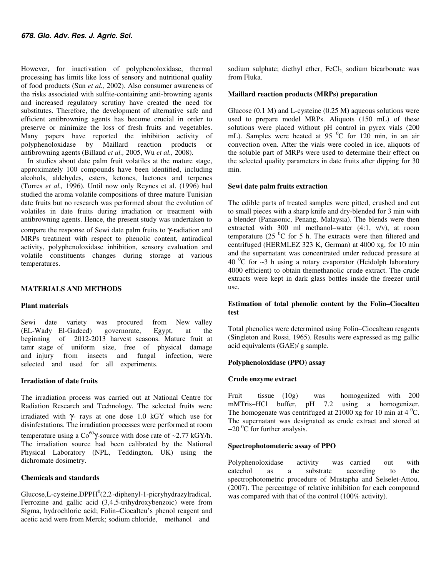However, for inactivation of polyphenoloxidase, thermal processing has limits like loss of sensory and nutritional quality of food products (Sun *et al.,* 2002). Also consumer awareness of the risks associated with sulfite-containing anti-browning agents and increased regulatory scrutiny have created the need for substitutes. Therefore, the development of alternative safe and efficient antibrowning agents has become crucial in order to preserve or minimize the loss of fresh fruits and vegetables. Many papers have reported the inhibition activity of polyphenoloxidase by Maillard reaction products or antibrowning agents (Billaud *et al.,* 2005, Wu *et al.,* 2008).

In studies about date palm fruit volatiles at the mature stage, approximately 100 compounds have been identified, including alcohols, aldehydes, esters, ketones, lactones and terpenes (Torres *et al.,* 1996). Until now only Reynes et al. (1996) had studied the aroma volatile compositions of three mature Tunisian date fruits but no research was performed about the evolution of volatiles in date fruits during irradiation or treatment with antibrowning agents. Hence, the present study was undertaken to compare the response of Sewi date palm fruits to γ-radiation and MRPs treatment with respect to phenolic content, antiradical activity, polyphenoloxidase inhibition, sensory evaluation and volatile constituents changes during storage at various temperatures.

#### **MATERIALS AND METHODS**

#### **Plant materials**

Sewi date variety was procured from New valley (EL-Wady El-Gadeed) governorate, Egypt, at the beginning of 2012-2013 harvest seasons. Mature fruit at tamr stage of uniform size, free of physical damage and injury from insects and fungal infection, were selected and used for all experiments.

## **Irradiation of date fruits**

The irradiation process was carried out at National Centre for Radiation Research and Technology. The selected fruits were irradiated with γ- rays at one dose 1.0 kGY which use for disinfestations. The irradiation processes were performed at room temperature using a  $Co^{60}Y$ -source with dose rate of ~2.77 kGY/h. The irradiation source had been calibrated by the National Physical Laboratory (NPL, Teddington, UK) using the dichromate dosimetry.

#### **Chemicals and standards**

 $Glucose, L-cysteine, DPPH<sup>0</sup>(2, 2-diphenyl-1-picryhydrazylradical,$ Ferrozine and gallic acid (3,4,5-trihydroxybenzoic) were from Sigma, hydrochloric acid; Folin–Ciocalteu's phenol reagent and acetic acid were from Merck; sodium chloride, methanol and

sodium sulphate; diethyl ether,  $FeCl<sub>2</sub>$  sodium bicarbonate was from Fluka.

#### **Maillard reaction products (MRPs) preparation**

Glucose  $(0.1 \text{ M})$  and L-cysteine  $(0.25 \text{ M})$  aqueous solutions were used to prepare model MRPs. Aliquots (150 mL) of these solutions were placed without pH control in pyrex vials (200 mL). Samples were heated at  $95\text{ °C}$  for 120 min, in an air convection oven. After the vials were cooled in ice, aliquots of the soluble part of MRPs were used to determine their effect on the selected quality parameters in date fruits after dipping for 30 min.

#### **Sewi date palm fruits extraction**

The edible parts of treated samples were pitted, crushed and cut to small pieces with a sharp knife and dry-blended for 3 min with a blender (Panasonic, Penang, Malaysia). The blends were then extracted with 300 ml methanol–water (4:1, v/v), at room temperature (25 $\mathrm{^{0}C}$  for 5 h. The extracts were then filtered and centrifuged (HERMLEZ 323 K, German) at 4000 xg, for 10 min and the supernatant was concentrated under reduced pressure at 40  $^0$ C for ∼3 h using a rotary evaporator (Heidolph laboratory 4000 efficient) to obtain themethanolic crude extract. The crude extracts were kept in dark glass bottles inside the freezer until use.

## **Estimation of total phenolic content by the Folin–Ciocalteu test**

Total phenolics were determined using Folin–Ciocalteau reagents (Singleton and Rossi, 1965). Results were expressed as mg gallic acid equivalents (GAE)/ g sample.

## **Polyphenoloxidase (PPO) assay**

#### **Crude enzyme extract**

Fruit tissue (10g) was homogenized with 200 mMTris–HCl buffer, pH 7.2 using a homogenizer. The homogenate was centrifuged at 21000 xg for 10 min at 4  $^{0}$ C. The supernatant was designated as crude extract and stored at  $-20$ <sup>0</sup>C for further analysis.

## **Spectrophotometeric assay of PPO**

Polyphenoloxidase activity was carried out with catechol as a substrate according to the spectrophotometric procedure of Mustapha and Selselet-Attou, (2007). The percentage of relative inhibition for each compound was compared with that of the control (100% activity).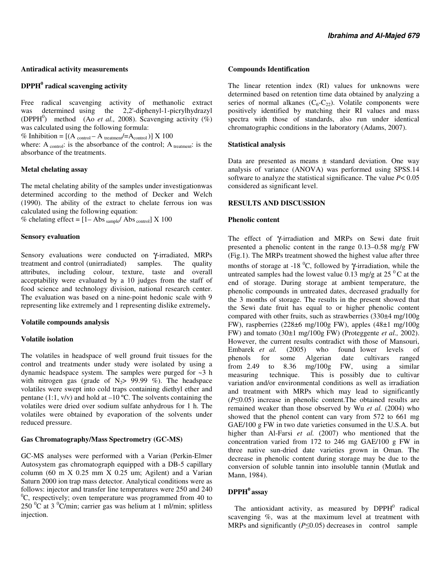#### **Antiradical activity measurements**

# **DPPH<sup>0</sup> radical scavenging activity**

Free radical scavenging activity of methanolic extract was determined using the 2,2'-diphenyl-1-picrylhydrazyl (DPPH<sup>0</sup>) method (Ao *et al.*, 2008). Scavenging activity  $(\%)$ was calculated using the following formula:

% Inhibition =  $[(A_{control} - A_{treatment}/=A_{control})] \times 100$ 

where: A  $_{control}$ : is the absorbance of the control; A  $_{treatment}$ : is the absorbance of the treatments.

#### **Metal chelating assay**

The metal chelating ability of the samples under investigationwas determined according to the method of Decker and Welch (1990). The ability of the extract to chelate ferrous ion was calculated using the following equation:

% chelating effect =  $[1 - Abs_{sample}/ Abs_{control}] \times 100$ 

## **Sensory evaluation**

Sensory evaluations were conducted on γ-irradiated, MRPs treatment and control (unirradiated) samples. The quality treatment and control (unirradiated) attributes, including colour, texture, taste and overall acceptability were evaluated by a 10 judges from the staff of food science and technology division, national research center. The evaluation was based on a nine-point hedonic scale with 9 representing like extremely and 1 representing dislike extremely**.** 

## **Volatile compounds analysis**

## **Volatile isolation**

The volatiles in headspace of well ground fruit tissues for the control and treatments under study were isolated by using a dynamic headspace system. The samples were purged for ~3 h with nitrogen gas (grade of  $N_2$ > 99.99 %). The headspace volatiles were swept into cold traps containing diethyl ether and pentane (1:1,  $v/v$ ) and hold at  $-10$  °C. The solvents containing the volatiles were dried over sodium sulfate anhydrous for 1 h. The volatiles were obtained by evaporation of the solvents under reduced pressure.

## **Gas Chromatography/Mass Spectrometry (GC-MS)**

GC-MS analyses were performed with a Varian (Perkin-Elmer Autosystem gas chromatograph equipped with a DB-5 capillary column (60 m X 0.25 mm  $\overline{X}$  0.25 um; Agilent) and a Varian Saturn 2000 ion trap mass detector. Analytical conditions were as follows: injector and transfer line temperatures were 250 and 240  ${}^{0}C$ , respectively; oven temperature was programmed from 40 to  $250 \degree$ C at 3  $\degree$ C/min; carrier gas was helium at 1 ml/min; splitless injection.

#### **Compounds Identification**

The linear retention index (RI) values for unknowns were determined based on retention time data obtained by analyzing a series of normal alkanes  $(C_6-C_{22})$ . Volatile components were positively identified by matching their RI values and mass spectra with those of standards, also run under identical chromatographic conditions in the laboratory (Adams, 2007).

## **Statistical analysis**

Data are presented as means  $\pm$  standard deviation. One way analysis of variance (ANOVA) was performed using SPSS.14 software to analyze the statistical significance. The value *P*< 0.05 considered as significant level.

## **RESULTS AND DISCUSSION**

## **Phenolic content**

The effect of γ-irradiation and MRPs on Sewi date fruit presented a phenolic content in the range 0.13–0.58 mg/g FW (Fig.1). The MRPs treatment showed the highest value after three months of storage at -18  $^{0}C$ , followed by  $\gamma$ -irradiation, while the untreated samples had the lowest value 0.13 mg/g at  $25<sup>0</sup>C$  at the end of storage. During storage at ambient temperature, the phenolic compounds in untreated dates, decreased gradually for the 3 months of storage. The results in the present showed that the Sewi date fruit has equal to or higher phenolic content compared with other fruits, such as strawberries (330±4 mg/100g FW), raspberries (228±6 mg/100g FW), apples (48±1 mg/100g FW) and tomato (30±1 mg/100g FW) (Proteggente *et al.,* 2002). However, the current results contradict with those of Mansouri, Embarek *et al.* (2005) who found lower levels of phenols for some Algerian date cultivars ranged from 2.49 to 8.36 mg/100g FW, using a similar measuring technique. This is possibly due to cultivar variation and/or environmental conditions as well as irradiation and treatment with MRPs which may lead to significantly (*P*≤0.05) increase in phenolic content.The obtained results are remained weaker than those observed by Wu *et al.* (2004) who showed that the phenol content can vary from 572 to 661 mg GAE/100 g FW in two date varieties consumed in the U.S.A. but higher than Al-Farsi *et al.* (2007) who mentioned that the concentration varied from 172 to 246 mg GAE/100 g FW in three native sun-dried date varieties grown in Oman. The decrease in phenolic content during storage may be due to the conversion of soluble tannin into insoluble tannin (Mutlak and Mann, 1984).

# **DPPH<sup>0</sup>assay**

The antioxidant activity, as measured by  $DPPH<sup>0</sup>$  radical scavenging %, was at the maximum level at treatment with MRPs and significantly (*P*≤0.05) decreases in control sample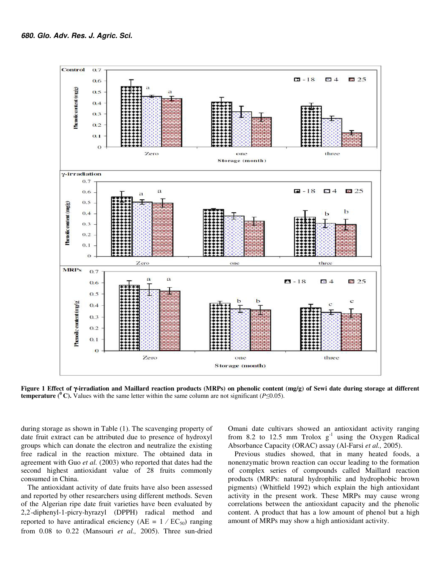

**Figure 1 Effect of** γ**-irradiation and Maillard reaction products (MRPs) on phenolic content (mg/g) of Sewi date during storage at different temperature (<sup>** $0$ **</sup>C).** Values with the same letter within the same column are not significant ( $P \le 0.05$ ).

during storage as shown in Table (1). The scavenging property of date fruit extract can be attributed due to presence of hydroxyl groups which can donate the electron and neutralize the existing free radical in the reaction mixture. The obtained data in agreement with Guo *et al.* (2003) who reported that dates had the second highest antioxidant value of 28 fruits commonly consumed in China.

The antioxidant activity of date fruits have also been assessed and reported by other researchers using different methods. Seven of the Algerian ripe date fruit varieties have been evaluated by 2,2' -diphenyl-1-picry-hyrazyl (DPPH) radical method and reported to have antiradical efficiency ( $AE = 1 / EC_{50}$ ) ranging from 0.08 to 0.22 (Mansouri *et al.,* 2005). Three sun-dried

Omani date cultivars showed an antioxidant activity ranging from 8.2 to 12.5 mm Trolox  $g^{-1}$  using the Oxygen Radical Absorbance Capacity (ORAC) assay (Al-Farsi *et al.,* 2005).

Previous studies showed, that in many heated foods, a nonenzymatic brown reaction can occur leading to the formation of complex series of compounds called Maillard reaction products (MRPs: natural hydrophilic and hydrophobic brown pigments) (Whitfield 1992) which explain the high antioxidant activity in the present work. These MRPs may cause wrong correlations between the antioxidant capacity and the phenolic content. A product that has a low amount of phenol but a high amount of MRPs may show a high antioxidant activity.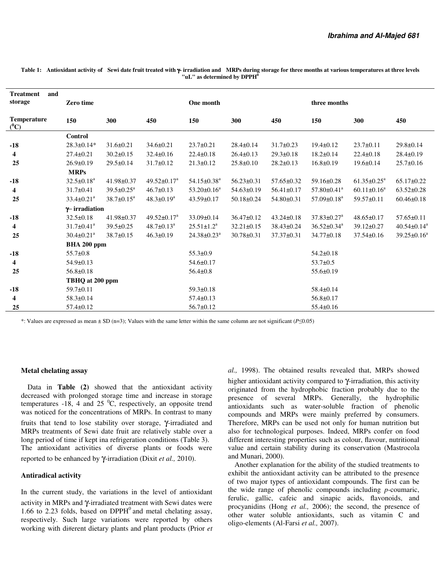| and<br><b>Treatment</b><br>storage | <b>Zero time</b>             |                            |                               | One month                     |                  |                  | three months                  |                             |                               |
|------------------------------------|------------------------------|----------------------------|-------------------------------|-------------------------------|------------------|------------------|-------------------------------|-----------------------------|-------------------------------|
| <b>Temperature</b><br>$(^0C)$      | 150                          | 300                        | 450                           | 150                           | 300              | 450              | 150                           | 300                         | 450                           |
|                                    | Control                      |                            |                               |                               |                  |                  |                               |                             |                               |
| $-18$                              | $28.3 \pm 0.14*$             | $31.6 \pm 0.21$            | $34.6 \pm 0.21$               | $23.7 \pm 0.21$               | $28.4 \pm 0.14$  | $31.7 \pm 0.23$  | $19.4 \pm 0.12$               | $23.7 \pm 0.11$             | $29.8 \pm 0.14$               |
| $\overline{\mathbf{4}}$            | $27.4 \pm 0.21$              | $30.2 \pm 0.15$            | $32.4 \pm 0.16$               | $22.4 \pm 0.18$               | $26.4 \pm 0.13$  | $29.3 \pm 0.18$  | $18.2 \pm 0.14$               | $22.4 \pm 0.18$             | $28.4 \pm 0.19$               |
| 25                                 | $26.9 \pm 0.19$              | $29.5 \pm 0.14$            | $31.7 \pm 0.12$               | $21.3 \pm 0.12$               | $25.8 \pm 0.10$  | $28.2 \pm 0.13$  | $16.8 \pm 0.19$               | $19.6 \pm 0.14$             | $25.7 \pm 0.16$               |
|                                    | <b>MRPs</b>                  |                            |                               |                               |                  |                  |                               |                             |                               |
| $-18$                              | $32.5 \pm 0.18^a$            | 41.98±0.37                 | $49.52 \pm 0.17^a$            | $54.15 \pm 0.38$ <sup>a</sup> | $56.23 \pm 0.31$ | $57.65 \pm 0.32$ | $59.16 \pm 0.28$              | $61.35 \pm 0.25^{\text{a}}$ | $65.17 \pm 0.22$              |
| 4                                  | $31.7 \pm 0.41$              | $39.5 \pm 0.25^{\text{a}}$ | $46.7 \pm 0.13$               | $53.20 \pm 0.16^a$            | $54.63 \pm 0.19$ | $56.41 \pm 0.17$ | $57.80 \pm 0.41$ <sup>a</sup> | $60.11 \pm 0.16^a$          | $63.52 \pm 0.28$              |
| 25                                 | $33.4 \pm 0.21$ <sup>a</sup> | $38.7 \pm 0.15^a$          | $48.3 \pm 0.19^a$             | $43.59 \pm 0.17$              | 50.18±0.24       | 54.80±0.31       | $57.09 \pm 0.18$ <sup>a</sup> | $59.57 \pm 0.11$            | $60.46 \pm 0.18$              |
|                                    | $\gamma$ -irradiation        |                            |                               |                               |                  |                  |                               |                             |                               |
| $-18$                              | $32.5 \pm 0.18$              | 41.98±0.37                 | 49.52 $\pm$ 0.17 <sup>a</sup> | 33.09±0.14                    | $36.47 \pm 0.12$ | $43.24 \pm 0.18$ | $37.83 \pm 0.27$ <sup>a</sup> | $48.65 \pm 0.17$            | $57.65 \pm 0.11$              |
| 4                                  | $31.7 \pm 0.41$ <sup>a</sup> | $39.5 \pm 0.25$            | $48.7 \pm 0.13^a$             | $25.51 \pm 1.2^a$             | $32.21 \pm 0.15$ | 38.43±0.24       | $36.52 \pm 0.34$ <sup>a</sup> | $39.12 \pm 0.27$            | $40.54 \pm 0.14$ <sup>a</sup> |
| 25                                 | $30.4 \pm 0.21$ <sup>a</sup> | $38.7 \pm 0.15$            | $46.3 \pm 0.19$               | $24.38 \pm 0.23$ <sup>a</sup> | $30.78 \pm 0.31$ | $37.37 \pm 0.31$ | 34.77±0.18                    | $37.54 \pm 0.16$            | $39.25 \pm 0.16^a$            |
|                                    | BHA 200 ppm                  |                            |                               |                               |                  |                  |                               |                             |                               |
| $-18$                              | $55.7 \pm 0.8$               |                            |                               | $55.3 \pm 0.9$                |                  |                  | $54.2 \pm 0.18$               |                             |                               |
| 4                                  | $54.9 \pm 0.13$              |                            |                               | $54.6 \pm 0.17$               |                  |                  | $53.7 \pm 0.5$                |                             |                               |
| 25                                 | $56.8 \pm 0.18$              |                            |                               | $56.4 \pm 0.8$                |                  |                  | $55.6 \pm 0.19$               |                             |                               |
|                                    | TBHQ at 200 ppm              |                            |                               |                               |                  |                  |                               |                             |                               |
| $-18$                              | $59.7 \pm 0.11$              |                            |                               | $59.3 \pm 0.18$               |                  |                  | $58.4 \pm 0.14$               |                             |                               |
| 4                                  | $58.3 \pm 0.14$              |                            |                               | $57.4 \pm 0.13$               |                  |                  | $56.8 \pm 0.17$               |                             |                               |
| 25                                 | $57.4 \pm 0.12$              |                            |                               | $56.7 \pm 0.12$               |                  |                  | $55.4 \pm 0.16$               |                             |                               |

**Table 1: Antioxidant activity of Sewi date fruit treated with** γ**- irradiation and MRPs during storage for three months at various temperatures at three levels "uL" as determined by DPPH<sup>0</sup>**

\*: Values are expressed as mean ± SD (n=3); Values with the same letter within the same column are not significant (*P*≤0.05)

### **Metal chelating assay**

Data in **Table (2)** showed that the antioxidant activity decreased with prolonged storage time and increase in storage temperatures -18, 4 and 25  $^{\circ}$ C, respectively, an opposite trend was noticed for the concentrations of MRPs. In contrast to many fruits that tend to lose stability over storage, γ-irradiated and MRPs treatments of Sewi date fruit are relatively stable over a long period of time if kept ina refrigeration conditions (Table 3). The antioxidant activities of diverse plants or foods were reported to be enhanced by γ-irradiation (Dixit *et al.,* 2010).

#### **Antiradical activity**

In the current study, the variations in the level of antioxidant activity in MRPs and γ-irradiated treatment with Sewi dates were 1.66 to 2.23 folds, based on  $DPPH<sup>0</sup>$  and metal chelating assay, respectively. Such large variations were reported by others working with different dietary plants and plant products (Prior *et* 

*al.,* 1998). The obtained results revealed that, MRPs showed higher antioxidant activity compared to γ-irradiation, this activity originated from the hydrophobic fraction probably due to the presence of several MRPs. Generally, the hydrophilic antioxidants such as water-soluble fraction of phenolic compounds and MRPs were mainly preferred by consumers. Therefore, MRPs can be used not only for human nutrition but also for technological purposes. Indeed, MRPs confer on food different interesting properties such as colour, flavour, nutritional value and certain stability during its conservation (Mastrocola and Munari, 2000).

Another explanation for the ability of the studied treatments to exhibit the antioxidant activity can be attributed to the presence of two major types of antioxidant compounds. The first can be the wide range of phenolic compounds including *p*-coumaric, ferulic, gallic, cafeic and sinapic acids, flavonoids, and procyanidins (Hong *et al.,* 2006); the second, the presence of other water soluble antioxidants, such as vitamin C and oligo-elements (Al-Farsi *et al.,* 2007).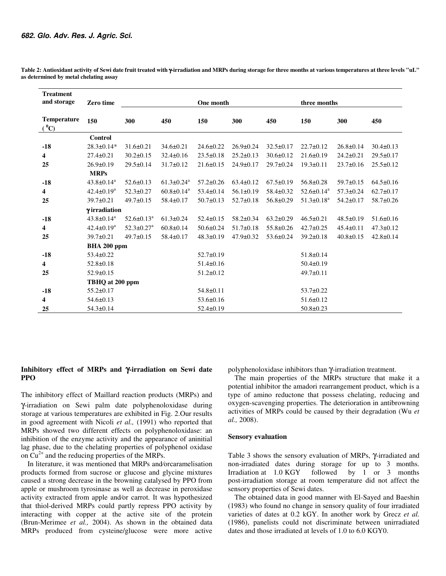| <b>Treatment</b><br>and storage | <b>Zero time</b>             |                              |                              | One month       |                                    |                 | three months                 |                 |                 |
|---------------------------------|------------------------------|------------------------------|------------------------------|-----------------|------------------------------------|-----------------|------------------------------|-----------------|-----------------|
|                                 |                              |                              |                              |                 |                                    |                 |                              |                 |                 |
| <b>Temperature</b><br>$(^0C)$   | 150                          | 300                          | 450                          | 150             | 300                                | 450             | 150                          | 300             | 450             |
|                                 | Control                      |                              |                              |                 |                                    |                 |                              |                 |                 |
| $-18$                           | $28.3 \pm 0.14*$             | $31.6 \pm 0.21$              | $34.6 \pm 0.21$              | $24.6 \pm 0.22$ | $26.9 \pm 0.24$                    | $32.5 \pm 0.17$ | $22.7 \pm 0.12$              | $26.8 \pm 0.14$ | $30.4 \pm 0.13$ |
| 4                               | $27.4 \pm 0.21$              | $30.2 \pm 0.15$              | $32.4 \pm 0.16$              | $23.5 \pm 0.18$ | $25.2 \pm 0.13$                    | $30.6 \pm 0.12$ | $21.6 \pm 0.19$              | $24.2 \pm 0.21$ | $29.5 \pm 0.17$ |
| 25                              | $26.9 \pm 0.19$              | $29.5 \pm 0.14$              | $31.7 \pm 0.12$              | $21.6 \pm 0.15$ | $24.9 \pm 0.17$<br>$29.7 \pm 0.24$ |                 | $19.3 \pm 0.11$              | $23.7 \pm 0.16$ | $25.5 \pm 0.12$ |
|                                 | <b>MRPs</b>                  |                              |                              |                 |                                    |                 |                              |                 |                 |
| $-18$                           | $43.8 \pm 0.14$ <sup>a</sup> | $52.6 \pm 0.13$              | $61.3 \pm 0.24$ <sup>a</sup> | $57.2 \pm 0.26$ | $63.4 \pm 0.12$                    | $67.5 \pm 0.19$ | $56.8 \pm 0.28$              | 59.7±0.15       | $64.5 \pm 0.16$ |
| 4                               | $42.4 \pm 0.19^a$            | $52.3 \pm 0.27$              | $60.8 \pm 0.14$ <sup>a</sup> | $53.4 \pm 0.14$ | $56.1 \pm 0.19$                    | $58.4 \pm 0.32$ | $52.6 \pm 0.14$ <sup>a</sup> | $57.3 \pm 0.24$ | $62.7 \pm 0.17$ |
| 25                              | $39.7 \pm 0.21$              | $49.7 \pm 0.15$              | $58.4 \pm 0.17$              | $50.7 \pm 0.13$ | $52.7 \pm 0.18$                    | $56.8 \pm 0.29$ | $51.3 \pm 0.18^a$            | $54.2 \pm 0.17$ | $58.7 \pm 0.26$ |
|                                 | γirradiation                 |                              |                              |                 |                                    |                 |                              |                 |                 |
| $-18$                           | $43.8 \pm 0.14$ <sup>a</sup> | $52.6 \pm 0.13^a$            | $61.3 \pm 0.24$              | $52.4 \pm 0.15$ | $58.2 \pm 0.34$                    | $63.2 \pm 0.29$ | $46.5 \pm 0.21$              | $48.5 \pm 0.19$ | $51.6 \pm 0.16$ |
| 4                               | $42.4 \pm 0.19^a$            | $52.3 \pm 0.27$ <sup>a</sup> | $60.8 \pm 0.14$              | $50.6 \pm 0.24$ | $51.7\pm0.18$                      | $55.8 \pm 0.26$ | $42.7 \pm 0.25$              | $45.4 \pm 0.11$ | $47.3 \pm 0.12$ |
| 25                              | $39.7 \pm 0.21$              | $49.7 \pm 0.15$              | 58.4±0.17                    | $48.3 \pm 0.19$ | $47.9 \pm 0.32$                    | $53.6 \pm 0.24$ | $39.2 \pm 0.18$              | $40.8 \pm 0.15$ | $42.8 \pm 0.14$ |
|                                 | BHA 200 ppm                  |                              |                              |                 |                                    |                 |                              |                 |                 |
| $-18$                           | $53.4 \pm 0.22$              |                              |                              | $52.7 \pm 0.19$ |                                    |                 | $51.8 \pm 0.14$              |                 |                 |
| 4                               | $52.8 \pm 0.18$              |                              |                              | $51.4 \pm 0.16$ |                                    |                 | $50.4 \pm 0.19$              |                 |                 |
| 25                              | $52.9 \pm 0.15$              |                              |                              | $51.2 \pm 0.12$ |                                    |                 | $49.7 \pm 0.11$              |                 |                 |
|                                 | TBHQ at 200 ppm              |                              |                              |                 |                                    |                 |                              |                 |                 |
| $-18$                           | $55.2 \pm 0.17$              |                              |                              | $54.8 \pm 0.11$ |                                    |                 | $53.7 \pm 0.22$              |                 |                 |
| 4                               | $54.6 \pm 0.13$              |                              |                              | $53.6 \pm 0.16$ |                                    |                 | $51.6 \pm 0.12$              |                 |                 |
| 25                              | $54.3 \pm 0.14$              |                              |                              | $52.4 \pm 0.19$ |                                    |                 | $50.8 \pm 0.23$              |                 |                 |

**Table 2: Antioxidant activity of Sewi date fruit treated with** γ**-irradiation and MRPs during storage for three months at various temperatures at three levels "uL" as determined by metal chelating assay** 

# **Inhibitory effect of MRPs and** γ**-irradiation on Sewi date PPO**

The inhibitory effect of Maillard reaction products (MRPs) and γ-irradiation on Sewi palm date polyphenoloxidase during storage at various temperatures are exhibited in Fig. 2.Our results in good agreement with Nicoli *et al.,* (1991) who reported that MRPs showed two different effects on polyphenoloxidase: an inhibition of the enzyme activity and the appearance of aninitial lag phase, due to the chelating properties of polyphenol oxidase on  $Cu^{2+}$  and the reducing properties of the MRPs.

In literature, it was mentioned that MRPs and⁄orcaramelisation products formed from sucrose or glucose and glycine mixtures caused a strong decrease in the browning catalysed by PPO from apple or mushroom tyrosinase as well as decrease in peroxidase activity extracted from apple and⁄or carrot. It was hypothesized that thiol-derived MRPs could partly repress PPO activity by interacting with copper at the active site of the protein (Brun-Merimee *et al.,* 2004). As shown in the obtained data MRPs produced from cysteine/glucose were more active

polyphenoloxidase inhibitors than γ-irradiation treatment.

The main properties of the MRPs structure that make it a potential inhibitor the amadori rearrangement product, which is a type of amino reductone that possess chelating, reducing and oxygen-scavenging properties. The deterioration in antibrowning activities of MRPs could be caused by their degradation (Wu *et al.,* 2008).

#### **Sensory evaluation**

Table 3 shows the sensory evaluation of MRPs, γ-irradiated and non-irradiated dates during storage for up to 3 months. Irradiation at 1.0 KGY followed by 1 or 3 months post-irradiation storage at room temperature did not affect the sensory properties of Sewi dates.

The obtained data in good manner with El-Sayed and Baeshin (1983) who found no change in sensory quality of four irradiated varieties of dates at 0.2 kGY. In another work by Grecz *et al.* (1986), panelists could not discriminate between unirradiated dates and those irradiated at levels of 1.0 to 6.0 KGY0.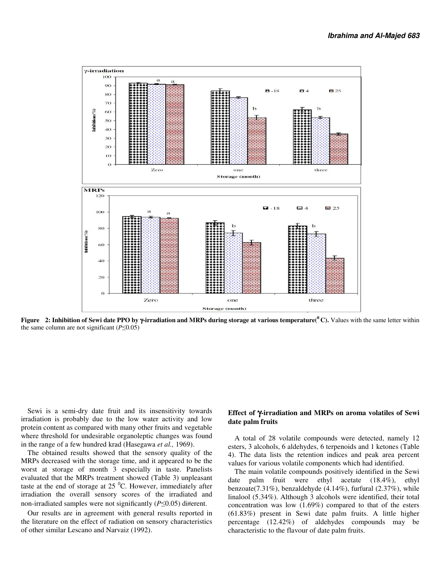

**Figure 2: Inhibition of Sewi date PPO by** γ**-irradiation and MRPs during storage at various temperature(<sup>0</sup>C).** Values with the same letter within the same column are not significant (*P*≤0.05)

Sewi is a semi-dry date fruit and its insensitivity towards irradiation is probably due to the low water activity and low protein content as compared with many other fruits and vegetable where threshold for undesirable organoleptic changes was found in the range of a few hundred krad (Hasegawa *et al.,* 1969).

The obtained results showed that the sensory quality of the MRPs decreased with the storage time, and it appeared to be the worst at storage of month 3 especially in taste. Panelists evaluated that the MRPs treatment showed (Table 3) unpleasant taste at the end of storage at  $25<sup>0</sup>C$ . However, immediately after irradiation the overall sensory scores of the irradiated and non-irradiated samples were not significantly (*P*≤0.05) different.

Our results are in agreement with general results reported in the literature on the effect of radiation on sensory characteristics of other similar Lescano and Narvaiz (1992).

### **Effect of** γ**-irradiation and MRPs on aroma volatiles of Sewi date palm fruits**

A total of 28 volatile compounds were detected, namely 12 esters, 3 alcohols, 6 aldehydes, 6 terpenoids and 1 ketones (Table 4). The data lists the retention indices and peak area percent values for various volatile components which had identified.

The main volatile compounds positively identified in the Sewi date palm fruit were ethyl acetate (18.4%), ethyl benzoate(7.31%), benzaldehyde (4.14%), furfural (2.37%), while linalool (5.34%). Although 3 alcohols were identified, their total concentration was low (1.69%) compared to that of the esters (61.83%) present in Sewi date palm fruits. A little higher percentage (12.42%) of aldehydes compounds may be characteristic to the flavour of date palm fruits.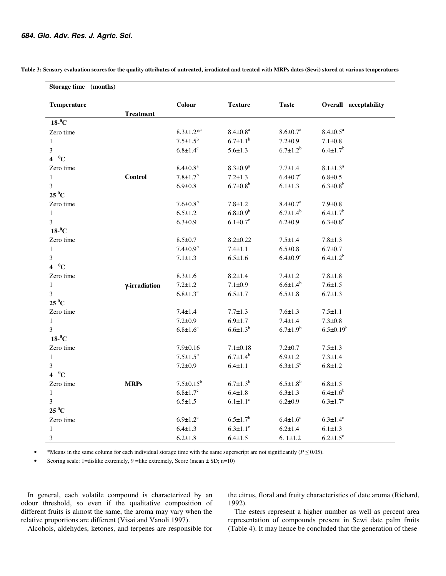| Storage time (months) |                  |                            |                            |                            |                            |
|-----------------------|------------------|----------------------------|----------------------------|----------------------------|----------------------------|
| Temperature           | <b>Treatment</b> | Colour                     | <b>Texture</b>             | <b>Taste</b>               | Overall acceptability      |
| $18^{-0}C$            |                  |                            |                            |                            |                            |
| Zero time             |                  | $8.3 \pm 1.2^{*a}$         | $8.4 \pm 0.8^a$            | $8.6 \pm 0.7^a$            | $8.4 \pm 0.5^a$            |
| $\mathbf{1}$          |                  | $7.5 \pm 1.5^b$            | $6.7 \pm 1.1^b$            | $7.2 \pm 0.9$              | $7.1 \pm 0.8$              |
| 3                     |                  | $6.8 \pm 1.4^c$            | $5.6 \pm 1.3$              | $6.7{\pm}1.2^{b}$          | $6.4 \pm 1.7$ <sup>b</sup> |
| $4~^0$ C              |                  |                            |                            |                            |                            |
| Zero time             |                  | $8.4 \pm 0.8^a$            | $8.3 \pm 0.9^a$            | $7.7 + 1.4$                | $8.1 \pm 1.3^a$            |
| $\mathbf{1}$          | <b>Control</b>   | $7.8 \pm 1.7$ <sup>b</sup> | $7.2 \pm 1.3$              | $6.4 \pm 0.7$ °            | $6.8 \pm 0.5$              |
| 3                     |                  | $6.9 \pm 0.8$              | $6.7 \pm 0.8^b$            | $6.1 \pm 1.3$              | $6.3 \pm 0.8^b$            |
| $25\,^0$ C            |                  |                            |                            |                            |                            |
| Zero time             |                  | $7.6 \pm 0.8^b$            | $7.8 + 1.2$                | $8.4 \pm 0.7^a$            | $7.9 + 0.8$                |
| $\mathbf{1}$          |                  | $6.5 \pm 1.2$              | $6.8 \pm 0.9^b$            | $6.7{\pm}1.4^{b}$          | $6.4 \pm 1.7^b$            |
| 3                     |                  | $6.3 \pm 0.9$              | $6.1 \pm 0.7$ <sup>c</sup> | $6.2 \pm 0.9$              | $6.3 \pm 0.8$ <sup>c</sup> |
| $18^{-0}C$            |                  |                            |                            |                            |                            |
| Zero time             |                  | $8.5 \pm 0.7$              | $8.2 \pm 0.22$             | $7.5 \pm 1.4$              | $7.8 + 1.3$                |
| $\mathbf{1}$          |                  | $7.4 \pm 0.9^b$            | $7.4 \pm 1.1$              | $6.5 \pm 0.8$              | $6.7 + 0.7$                |
| 3                     |                  | $7.1 \pm 1.3$              | $6.5 \pm 1.6$              | $6.4 \pm 0.9^c$            | $6.4 \pm 1.2^b$            |
| $4~^0$ C              |                  |                            |                            |                            |                            |
| Zero time             |                  | $8.3 \pm 1.6$              | $8.2 \pm 1.4$              | $7.4 + 1.2$                | $7.8 + 1.8$                |
| $\mathbf{1}$          | γ-irradiation    | $7.2 + 1.2$                | $7.1 \pm 0.9$              | $6.6{\pm}1.4^{b}$          | $7.6 \pm 1.5$              |
| 3                     |                  | $6.8 \pm 1.3$ <sup>c</sup> | $6.5 \pm 1.7$              | $6.5 \pm 1.8$              | $6.7 \pm 1.3$              |
| $25\,^0$ C            |                  |                            |                            |                            |                            |
| Zero time             |                  | $7.4 + 1.4$                | $7.7 \pm 1.3$              | $7.6 \pm 1.3$              | $7.5 \pm 1.1$              |
| $\mathbf{1}$          |                  | $7.2 \pm 0.9$              | $6.9 \pm 1.7$              | $7.4 \pm 1.4$              | $7.3 \pm 0.8$              |
| 3                     |                  | $6.8 \pm 1.6$ <sup>c</sup> | $6.6{\pm}1.3^{b}$          | $6.7{\pm}1.9^{b}$          | $6.5 \pm 0.19^b$           |
| $18^{-0}C$            |                  |                            |                            |                            |                            |
| Zero time             |                  | $7.9 + 0.16$               | $7.1 \pm 0.18$             | $7.2 + 0.7$                | $7.5 \pm 1.3$              |
| $\mathbf{1}$          |                  | $7.5 \pm 1.5^b$            | $6.7 \pm 1.4^b$            | $6.9 \pm 1.2$              | $7.3 \pm 1.4$              |
| 3                     |                  | $7.2 \pm 0.9$              | $6.4 \pm 1.1$              | $6.3 \pm 1.5$ <sup>c</sup> | $6.8 + 1.2$                |
| $4~^0$ C              |                  |                            |                            |                            |                            |
| Zero time             | <b>MRPs</b>      | $7.5 \pm 0.15^b$           | $6.7{\pm}1.3^{b}$          | $6.5 \pm 1.8^b$            | $6.8 \pm 1.5$              |
| $\mathbf{1}$          |                  | $6.8 \pm 1.7$ <sup>c</sup> | $6.4 \pm 1.8$              | $6.3 \pm 1.3$              | $6.4 \pm 1.6^b$            |
| 3                     |                  | $6.5 \pm 1.5$              | $6.1 \pm 1.1$ <sup>c</sup> | $6.2 \pm 0.9$              | $6.3 \pm 1.7$ <sup>c</sup> |
| $25\,^0C$             |                  |                            |                            |                            |                            |
| Zero time             |                  | $6.9 \pm 1.2$ <sup>c</sup> | $6.5 \pm 1.7^b$            | $6.4 \pm 1.6$ <sup>c</sup> | $6.3 \pm 1.4$ <sup>c</sup> |
| $\mathbf{1}$          |                  | $6.4 \pm 1.3$              | $6.3 \pm 1.1$ <sup>c</sup> | $6.2 \pm 1.4$              | $6.1 \pm 1.3$              |
| 3                     |                  | $6.2 \pm 1.8$              | $6.4 \pm 1.5$              | 6.1 $\pm$ 1.2              | $6.2 \pm 1.5$ <sup>c</sup> |

**Table 3: Sensory evaluation scores for the quality attributes of untreated, irradiated and treated with MRPs dates (Sewi) stored at various temperatures** 

\*Means in the same column for each individual storage time with the same superscript are not significantly ( $P \le 0.05$ ).

Scoring scale: 1=dislike extremely, 9 = like extremely, Score (mean  $\pm$  SD; n=10)

In general, each volatile compound is characterized by an odour threshold, so even if the qualitative composition of different fruits is almost the same, the aroma may vary when the relative proportions are different (Visai and Vanoli 1997).

Alcohols, aldehydes, ketones, and terpenes are responsible for

the citrus, floral and fruity characteristics of date aroma (Richard, 1992).

The esters represent a higher number as well as percent area representation of compounds present in Sewi date palm fruits (Table 4). It may hence be concluded that the generation of these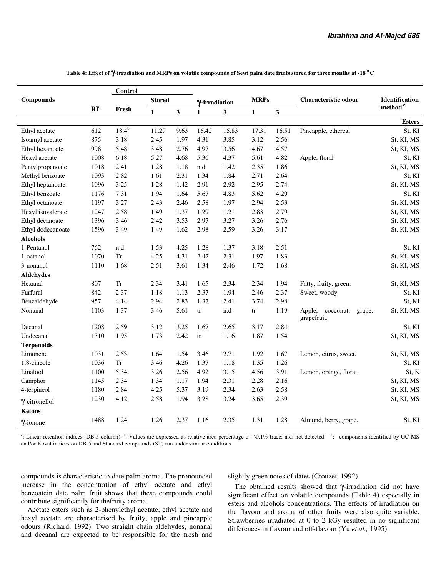|                   |                 | Control    |               |      |                        |       |              |       |                                           |                       |
|-------------------|-----------------|------------|---------------|------|------------------------|-------|--------------|-------|-------------------------------------------|-----------------------|
| <b>Compounds</b>  |                 |            | <b>Stored</b> |      | Y-irradiation          |       | <b>MRPs</b>  |       | Characteristic odour                      | <b>Identification</b> |
|                   | RI <sup>a</sup> | Fresh      | $\mathbf{1}$  | 3    | $\mathbf{1}$           | 3     | $\mathbf{1}$ | 3     |                                           | method <sup>c</sup>   |
|                   |                 |            |               |      |                        |       |              |       |                                           | <b>Esters</b>         |
| Ethyl acetate     | 612             | $18.4^{b}$ | 11.29         | 9.63 | 16.42                  | 15.83 | 17.31        | 16.51 | Pineapple, ethereal                       | St, KI                |
| Isoamyl acetate   | 875             | 3.18       | 2.45          | 1.97 | 4.31                   | 3.85  | 3.12         | 2.56  |                                           | St, KI, MS            |
| Ethyl hexanoate   | 998             | 5.48       | 3.48          | 2.76 | 4.97                   | 3.56  | 4.67         | 4.57  |                                           | St, KI, MS            |
| Hexyl acetate     | 1008            | 6.18       | 5.27          | 4.68 | 5.36                   | 4.37  | 5.61         | 4.82  | Apple, floral                             | St, KI                |
| Pentylpropanoate  | 1018            | 2.41       | 1.28          | 1.18 | n.d                    | 1.42  | 2.35         | 1.86  |                                           | St, KI, MS            |
| Methyl benzoate   | 1093            | 2.82       | 1.61          | 2.31 | 1.34                   | 1.84  | 2.71         | 2.64  |                                           | St, KI                |
| Ethyl heptanoate  | 1096            | 3.25       | 1.28          | 1.42 | 2.91                   | 2.92  | 2.95         | 2.74  |                                           | St, KI, MS            |
| Ethyl benzoate    | 1176            | 7.31       | 1.94          | 1.64 | 5.67                   | 4.83  | 5.62         | 4.29  |                                           | St, KI                |
| Ethyl octanoate   | 1197            | 3.27       | 2.43          | 2.46 | 2.58                   | 1.97  | 2.94         | 2.53  |                                           | St, KI, MS            |
| Hexyl isovalerate | 1247            | 2.58       | 1.49          | 1.37 | 1.29                   | 1.21  | 2.83         | 2.79  |                                           | St, KI, MS            |
| Ethyl decanoate   | 1396            | 3.46       | 2.42          | 3.53 | 2.97                   | 3.27  | 3.26         | 2.76  |                                           | St, KI, MS            |
| Ethyl dodecanoate | 1596            | 3.49       | 1.49          | 1.62 | 2.98                   | 2.59  | 3.26         | 3.17  |                                           | St, KI, MS            |
| <b>Alcohols</b>   |                 |            |               |      |                        |       |              |       |                                           |                       |
| 1-Pentanol        | 762             | n.d        | 1.53          | 4.25 | 1.28                   | 1.37  | 3.18         | 2.51  |                                           | St, KI                |
| 1-octanol         | 1070            | ${\rm Tr}$ | 4.25          | 4.31 | 2.42                   | 2.31  | 1.97         | 1.83  |                                           | St, KI, MS            |
| 3-nonanol         | 1110            | 1.68       | 2.51          | 3.61 | 1.34                   | 2.46  | 1.72         | 1.68  |                                           | St, KI, MS            |
| <b>Aldehydes</b>  |                 |            |               |      |                        |       |              |       |                                           |                       |
| Hexanal           | 807             | Tr         | 2.34          | 3.41 | 1.65                   | 2.34  | 2.34         | 1.94  | Fatty, fruity, green.                     | St, KI, MS            |
| Furfural          | 842             | 2.37       | 1.18          | 1.13 | 2.37                   | 1.94  | 2.46         | 2.37  | Sweet, woody                              | St, KI                |
| Benzaldehyde      | 957             | 4.14       | 2.94          | 2.83 | 1.37                   | 2.41  | 3.74         | 2.98  |                                           | St, KI                |
| Nonanal           | 1103            | 1.37       | 3.46          | 5.61 | $\mathop{\mathrm{tr}}$ | n.d   | tr           | 1.19  | Apple, cocconut,<br>grape,<br>grapefruit. | St, KI, MS            |
| Decanal           | 1208            | 2.59       | 3.12          | 3.25 | 1.67                   | 2.65  | 3.17         | 2.84  |                                           | St, KI                |
| Undecanal         | 1310            | 1.95       | 1.73          | 2.42 | tr                     | 1.16  | 1.87         | 1.54  |                                           | St, KI, MS            |
| <b>Terpenoids</b> |                 |            |               |      |                        |       |              |       |                                           |                       |
| Limonene          | 1031            | 2.53       | 1.64          | 1.54 | 3.46                   | 2.71  | 1.92         | 1.67  | Lemon, citrus, sweet.                     | St, KI, MS            |
| 1.8-cineole       | 1036            | <b>Tr</b>  | 3.46          | 4.26 | 1.37                   | 1.18  | 1.35         | 1.26  |                                           | St, KI                |
| Linalool          | 1100            | 5.34       | 3.26          | 2.56 | 4.92                   | 3.15  | 4.56         | 3.91  | Lemon, orange, floral.                    | St, K                 |
| Camphor           | 1145            | 2.34       | 1.34          | 1.17 | 1.94                   | 2.31  | 2.28         | 2.16  |                                           | St, KI, MS            |
| 4-terpineol       | 1180            | 2.84       | 4.25          | 5.37 | 3.19                   | 2.34  | 2.63         | 2.58  |                                           | St, KI, MS            |
| Y-citronellol     | 1230            | 4.12       | 2.58          | 1.94 | 3.28                   | 3.24  | 3.65         | 2.39  |                                           | St, KI, MS            |
| <b>Ketons</b>     |                 |            |               |      |                        |       |              |       |                                           |                       |
| Y-ionone          | 1488            | 1.24       | 1.26          | 2.37 | 1.16                   | 2.35  | 1.31         | 1.28  | Almond, berry, grape.                     | St, KI                |

**Table 4: Effect of** γ-**irradiation and MRPs on volatile compounds of Sewi palm date fruits stored for three months at -18 <sup>0</sup><sup>C</sup>**

<sup>a</sup>: Linear retention indices (DB-5 column). <sup>b</sup>: Values are expressed as relative area percentage tr: ≤0.1% trace; n.d: not detected <sup>c</sup>: components identified by GC-MS and/or Kovat indices on DB-5 and Standard compounds (ST) run under similar conditions

compounds is characteristic to date palm aroma. The pronounced increase in the concentration of ethyl acetate and ethyl benzoatein date palm fruit shows that these compounds could contribute significantly for thefruity aroma.

Acetate esters such as 2-phenylethyl acetate, ethyl acetate and hexyl acetate are characterised by fruity, apple and pineapple odours (Richard, 1992). Two straight chain aldehydes, nonanal and decanal are expected to be responsible for the fresh and

slightly green notes of dates (Crouzet, 1992).

The obtained results showed that γ-irradiation did not have significant effect on volatile compounds (Table 4) especially in esters and alcohols concentrations. The effects of irradiation on the flavour and aroma of other fruits were also quite variable. Strawberries irradiated at 0 to 2 kGy resulted in no significant differences in flavour and off-flavour (Yu *et al.,* 1995).